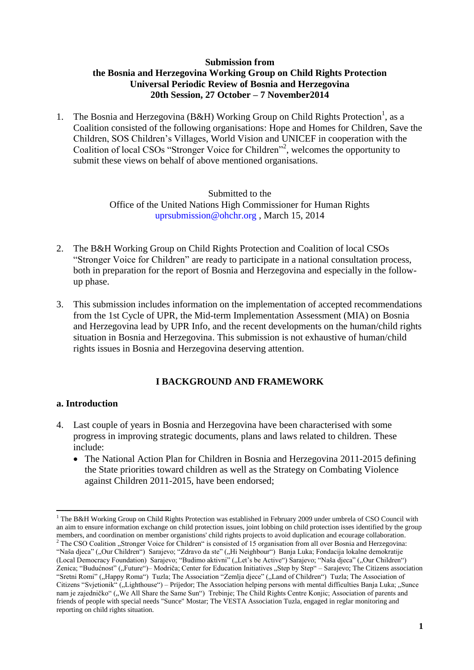#### **Submission from the Bosnia and Herzegovina Working Group on Child Rights Protection Universal Periodic Review of Bosnia and Herzegovina 20th Session, 27 October – 7 November2014**

1. The Bosnia and Herzegovina (B&H) Working Group on Child Rights Protection<sup>1</sup>, as a Coalition consisted of the following organisations: Hope and Homes for Children, Save the Children, SOS Children's Villages, World Vision and UNICEF in cooperation with the Coalition of local CSOs "Stronger Voice for Children"<sup>2</sup>, welcomes the opportunity to submit these views on behalf of above mentioned organisations.

> Submitted to the Office of the United Nations High Commissioner for Human Rights uprsubmission@ohchr.org , March 15, 2014

- 2. The B&H Working Group on Child Rights Protection and Coalition of local CSOs "Stronger Voice for Children" are ready to participate in a national consultation process, both in preparation for the report of Bosnia and Herzegovina and especially in the followup phase.
- 3. This submission includes information on the implementation of accepted recommendations from the 1st Cycle of UPR, the Mid-term Implementation Assessment (MIA) on Bosnia and Herzegovina lead by UPR Info, and the recent developments on the human/child rights situation in Bosnia and Herzegovina. This submission is not exhaustive of human/child rights issues in Bosnia and Herzegovina deserving attention.

### **I BACKGROUND AND FRAMEWORK**

#### **a. Introduction**

- 4. Last couple of years in Bosnia and Herzegovina have been characterised with some progress in improving strategic documents, plans and laws related to children. These include:
	- The National Action Plan for Children in Bosnia and Herzegovina 2011-2015 defining the State priorities toward children as well as the Strategy on Combating Violence against Children 2011-2015, have been endorsed;

<sup>1</sup> <sup>1</sup> The B&H Working Group on Child Rights Protection was established in February 2009 under umbrela of CSO Council with an aim to ensure information exchange on child protection issues, joint lobbing on child protection isses identified by the group members, and coordination on member organistions' child rights projects to avoid duplication and ecourage collaboration.

<sup>&</sup>lt;sup>2</sup> The CSO Coalition "Stronger Voice for Children" is consisted of 15 organisation from all over Bosnia and Herzegovina: "Naša djeca" ("Our Children") Sarajevo; "Zdravo da ste" ("Hi Neighbour") Banja Luka; Fondacija lokalne demokratije (Local Democracy Foundation) Sarajevo; "Budimo aktivni" ("Let's be Active") Sarajevo; "Naša djeca" ("Our Children") Zenica; "Budućnost" ("Future")– Modriča; Center for Education Initiatives "Step by Step" – Sarajevo; The Citizens association "Sretni Romi" ("Happy Roma") Tuzla; The Association "Zemlja djece" ("Land of Children") Tuzla; The Association of Citizens "Svjetionik" ("Lighthouse") – Prijedor; The Association helping persons with mental difficulties Banja Luka; "Sunce" nam je zajedničko" ("We All Share the Same Sun") Trebinje; The Child Rights Centre Konjic; Association of parents and friends of people with special needs "Sunce" Mostar; The VESTA Association Tuzla, engaged in reglar monitoring and reporting on child rights situation.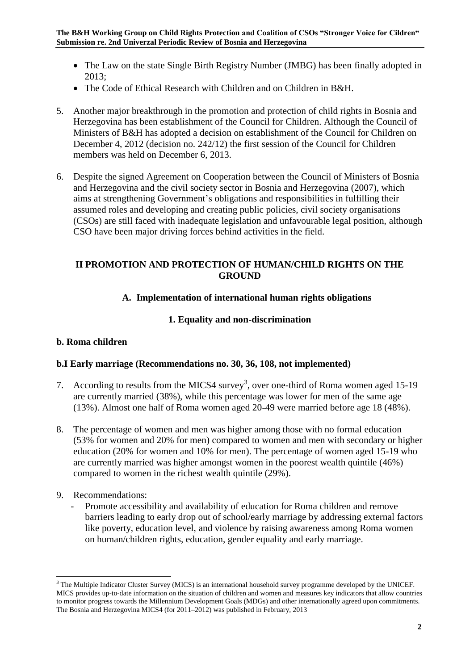- The Law on the state Single Birth Registry Number (JMBG) has been finally adopted in 2013;
- The Code of Ethical Research with Children and on Children in B&H.
- 5. Another major breakthrough in the promotion and protection of child rights in Bosnia and Herzegovina has been establishment of the Council for Children. Although the Council of Ministers of B&H has adopted a decision on establishment of the Council for Children on December 4, 2012 (decision no. 242/12) the first session of the Council for Children members was held on December 6, 2013.
- 6. Despite the signed Agreement on Cooperation between the Council of Ministers of Bosnia and Herzegovina and the civil society sector in Bosnia and Herzegovina (2007), which aims at strengthening Government's obligations and responsibilities in fulfilling their assumed roles and developing and creating public policies, civil society organisations (CSOs) are still faced with inadequate legislation and unfavourable legal position, although CSO have been major driving forces behind activities in the field.

### **II PROMOTION AND PROTECTION OF HUMAN/CHILD RIGHTS ON THE GROUND**

# **A. Implementation of international human rights obligations**

## **1. Equality and non-discrimination**

## **b. Roma children**

## **b.I Early marriage (Recommendations no. 30, 36, 108, not implemented)**

- 7. According to results from the MICS4 survey<sup>3</sup>, over one-third of Roma women aged 15-19 are currently married (38%), while this percentage was lower for men of the same age (13%). Almost one half of Roma women aged 20-49 were married before age 18 (48%).
- 8. The percentage of women and men was higher among those with no formal education (53% for women and 20% for men) compared to women and men with secondary or higher education (20% for women and 10% for men). The percentage of women aged 15-19 who are currently married was higher amongst women in the poorest wealth quintile (46%) compared to women in the richest wealth quintile (29%).
- 9. Recommendations:

1

Promote accessibility and availability of education for Roma children and remove barriers leading to early drop out of school/early marriage by addressing external factors like poverty, education level, and violence by raising awareness among Roma women on human/children rights, education, gender equality and early marriage.

<sup>&</sup>lt;sup>3</sup> The Multiple Indicator Cluster Survey (MICS) is an international household survey programme developed by the UNICEF. MICS provides up-to-date information on the situation of children and women and measures key indicators that allow countries to monitor progress towards the Millennium Development Goals (MDGs) and other internationally agreed upon commitments. The Bosnia and Herzegovina MICS4 (for 2011–2012) was published in February, 2013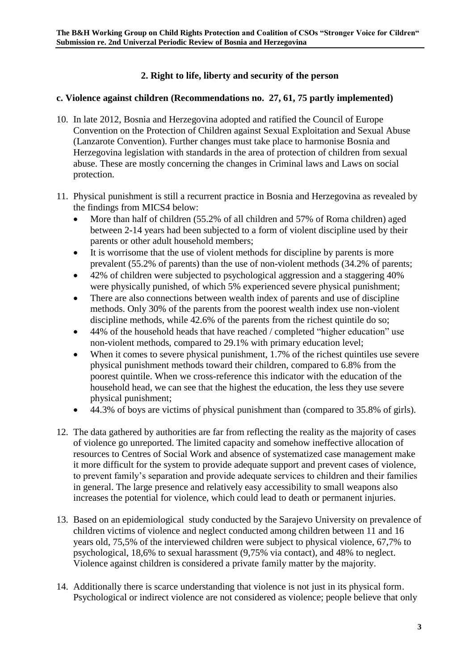### **2. Right to life, liberty and security of the person**

#### **c. Violence against children (Recommendations no. 27, 61, 75 partly implemented)**

- 10. In late 2012, Bosnia and Herzegovina adopted and ratified the Council of Europe Convention on the Protection of Children against Sexual Exploitation and Sexual Abuse (Lanzarote Convention). Further changes must take place to harmonise Bosnia and Herzegovina legislation with standards in the area of protection of children from sexual abuse. These are mostly concerning the changes in Criminal laws and Laws on social protection.
- 11. Physical punishment is still a recurrent practice in Bosnia and Herzegovina as revealed by the findings from MICS4 below:
	- More than half of children (55.2% of all children and 57% of Roma children) aged between 2-14 years had been subjected to a form of violent discipline used by their parents or other adult household members;
	- It is worrisome that the use of violent methods for discipline by parents is more prevalent (55.2% of parents) than the use of non-violent methods (34.2% of parents;
	- 42% of children were subjected to psychological aggression and a staggering 40% were physically punished, of which 5% experienced severe physical punishment;
	- There are also connections between wealth index of parents and use of discipline methods. Only 30% of the parents from the poorest wealth index use non-violent discipline methods, while 42.6% of the parents from the richest quintile do so;
	- 44% of the household heads that have reached / completed "higher education" use non-violent methods, compared to 29.1% with primary education level;
	- When it comes to severe physical punishment, 1.7% of the richest quintiles use severe physical punishment methods toward their children, compared to 6.8% from the poorest quintile. When we cross-reference this indicator with the education of the household head, we can see that the highest the education, the less they use severe physical punishment;
	- 44.3% of boys are victims of physical punishment than (compared to 35.8% of girls).
- 12. The data gathered by authorities are far from reflecting the reality as the majority of cases of violence go unreported. The limited capacity and somehow ineffective allocation of resources to Centres of Social Work and absence of systematized case management make it more difficult for the system to provide adequate support and prevent cases of violence, to prevent family's separation and provide adequate services to children and their families in general. The large presence and relatively easy accessibility to small weapons also increases the potential for violence, which could lead to death or permanent injuries.
- 13. Based on an epidemiological study conducted by the Sarajevo University on prevalence of children victims of violence and neglect conducted among children between 11 and 16 years old, 75,5% of the interviewed children were subject to physical violence, 67,7% to psychological, 18,6% to sexual harassment (9,75% via contact), and 48% to neglect. Violence against children is considered a private family matter by the majority.
- 14. Additionally there is scarce understanding that violence is not just in its physical form. Psychological or indirect violence are not considered as violence; people believe that only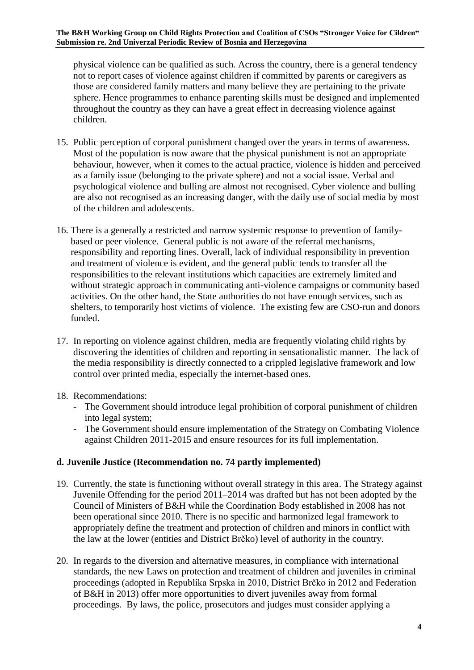physical violence can be qualified as such. Across the country, there is a general tendency not to report cases of violence against children if committed by parents or caregivers as those are considered family matters and many believe they are pertaining to the private sphere. Hence programmes to enhance parenting skills must be designed and implemented throughout the country as they can have a great effect in decreasing violence against children.

- 15. Public perception of corporal punishment changed over the years in terms of awareness. Most of the population is now aware that the physical punishment is not an appropriate behaviour, however, when it comes to the actual practice, violence is hidden and perceived as a family issue (belonging to the private sphere) and not a social issue. Verbal and psychological violence and bulling are almost not recognised. Cyber violence and bulling are also not recognised as an increasing danger, with the daily use of social media by most of the children and adolescents.
- 16. There is a generally a restricted and narrow systemic response to prevention of familybased or peer violence. General public is not aware of the referral mechanisms, responsibility and reporting lines. Overall, lack of individual responsibility in prevention and treatment of violence is evident, and the general public tends to transfer all the responsibilities to the relevant institutions which capacities are extremely limited and without strategic approach in communicating anti-violence campaigns or community based activities. On the other hand, the State authorities do not have enough services, such as shelters, to temporarily host victims of violence. The existing few are CSO-run and donors funded.
- 17. In reporting on violence against children, media are frequently violating child rights by discovering the identities of children and reporting in sensationalistic manner. The lack of the media responsibility is directly connected to a crippled legislative framework and low control over printed media, especially the internet-based ones.
- 18. Recommendations:
	- The Government should introduce legal prohibition of corporal punishment of children into legal system;
	- The Government should ensure implementation of the Strategy on Combating Violence against Children 2011-2015 and ensure resources for its full implementation.

## **d. Juvenile Justice (Recommendation no. 74 partly implemented)**

- 19. Currently, the state is functioning without overall strategy in this area. The Strategy against Juvenile Offending for the period 2011–2014 was drafted but has not been adopted by the Council of Ministers of B&H while the Coordination Body established in 2008 has not been operational since 2010. There is no specific and harmonized legal framework to appropriately define the treatment and protection of children and minors in conflict with the law at the lower (entities and District Brčko) level of authority in the country.
- 20. In regards to the diversion and alternative measures, in compliance with international standards, the new Laws on protection and treatment of children and juveniles in criminal proceedings (adopted in Republika Srpska in 2010, District Brčko in 2012 and Federation of B&H in 2013) offer more opportunities to divert juveniles away from formal proceedings. By laws, the police, prosecutors and judges must consider applying a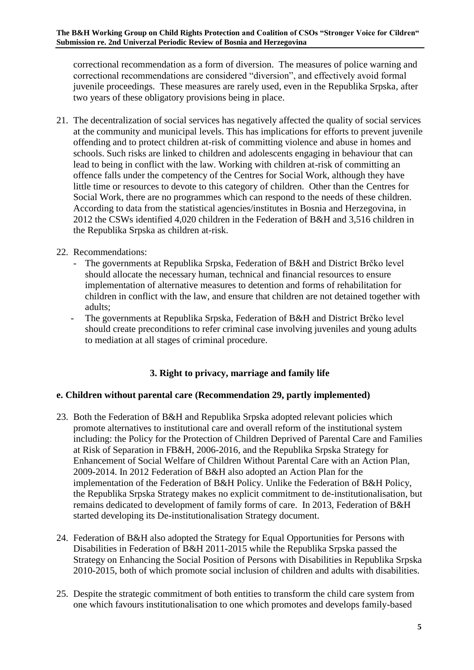correctional recommendation as a form of diversion. The measures of police warning and correctional recommendations are considered "diversion", and effectively avoid formal juvenile proceedings. These measures are rarely used, even in the Republika Srpska, after two years of these obligatory provisions being in place.

21. The decentralization of social services has negatively affected the quality of social services at the community and municipal levels. This has implications for efforts to prevent juvenile offending and to protect children at-risk of committing violence and abuse in homes and schools. Such risks are linked to children and adolescents engaging in behaviour that can lead to being in conflict with the law. Working with children at-risk of committing an offence falls under the competency of the Centres for Social Work, although they have little time or resources to devote to this category of children. Other than the Centres for Social Work, there are no programmes which can respond to the needs of these children. According to data from the statistical agencies/institutes in Bosnia and Herzegovina, in 2012 the CSWs identified 4,020 children in the Federation of B&H and 3,516 children in the Republika Srpska as children at-risk.

### 22. Recommendations:

- The governments at Republika Srpska, Federation of B&H and District Brčko level should allocate the necessary human, technical and financial resources to ensure implementation of alternative measures to detention and forms of rehabilitation for children in conflict with the law, and ensure that children are not detained together with adults;
- The governments at Republika Srpska, Federation of B&H and District Brčko level should create preconditions to refer criminal case involving juveniles and young adults to mediation at all stages of criminal procedure.

## **3. Right to privacy, marriage and family life**

### **e. Children without parental care (Recommendation 29, partly implemented)**

- 23. Both the Federation of B&H and Republika Srpska adopted relevant policies which promote alternatives to institutional care and overall reform of the institutional system including: the Policy for the Protection of Children Deprived of Parental Care and Families at Risk of Separation in FB&H, 2006-2016, and the Republika Srpska Strategy for Enhancement of Social Welfare of Children Without Parental Care with an Action Plan, 2009-2014. In 2012 Federation of B&H also adopted an Action Plan for the implementation of the Federation of B&H Policy. Unlike the Federation of B&H Policy, the Republika Srpska Strategy makes no explicit commitment to de-institutionalisation, but remains dedicated to development of family forms of care. In 2013, Federation of B&H started developing its De-institutionalisation Strategy document.
- 24. Federation of B&H also adopted the Strategy for Equal Opportunities for Persons with Disabilities in Federation of B&H 2011-2015 while the Republika Srpska passed the Strategy on Enhancing the Social Position of Persons with Disabilities in Republika Srpska 2010-2015, both of which promote social inclusion of children and adults with disabilities.
- 25. Despite the strategic commitment of both entities to transform the child care system from one which favours institutionalisation to one which promotes and develops family-based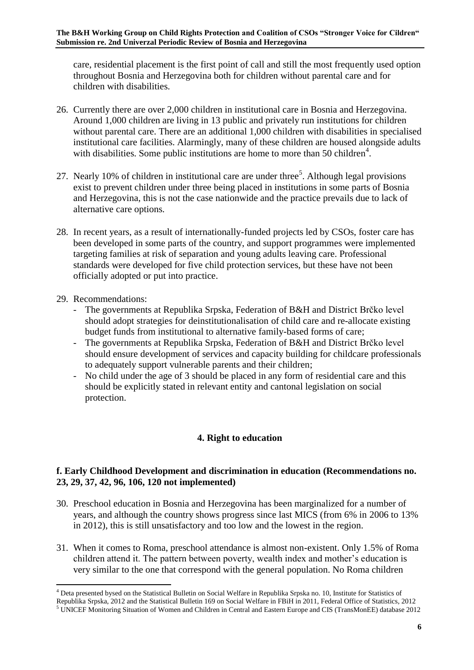care, residential placement is the first point of call and still the most frequently used option throughout Bosnia and Herzegovina both for children without parental care and for children with disabilities.

- 26. Currently there are over 2,000 children in institutional care in Bosnia and Herzegovina. Around 1,000 children are living in 13 public and privately run institutions for children without parental care. There are an additional 1,000 children with disabilities in specialised institutional care facilities. Alarmingly, many of these children are housed alongside adults with disabilities. Some public institutions are home to more than 50 children<sup>4</sup>.
- 27. Nearly 10% of children in institutional care are under three<sup>5</sup>. Although legal provisions exist to prevent children under three being placed in institutions in some parts of Bosnia and Herzegovina, this is not the case nationwide and the practice prevails due to lack of alternative care options.
- 28. In recent years, as a result of internationally-funded projects led by CSOs, foster care has been developed in some parts of the country, and support programmes were implemented targeting families at risk of separation and young adults leaving care. Professional standards were developed for five child protection services, but these have not been officially adopted or put into practice.
- 29. Recommendations:
	- The governments at Republika Srpska, Federation of B&H and District Brčko level should adopt strategies for deinstitutionalisation of child care and re-allocate existing budget funds from institutional to alternative family-based forms of care;
	- The governments at Republika Srpska, Federation of B&H and District Brčko level should ensure development of services and capacity building for childcare professionals to adequately support vulnerable parents and their children;
	- No child under the age of 3 should be placed in any form of residential care and this should be explicitly stated in relevant entity and cantonal legislation on social protection.

## **4. Right to education**

### **f. Early Childhood Development and discrimination in education (Recommendations no. 23, 29, 37, 42, 96, 106, 120 not implemented)**

- 30. Preschool education in Bosnia and Herzegovina has been marginalized for a number of years, and although the country shows progress since last MICS (from 6% in 2006 to 13% in 2012), this is still unsatisfactory and too low and the lowest in the region.
- 31. When it comes to Roma, preschool attendance is almost non-existent. Only 1.5% of Roma children attend it. The pattern between poverty, wealth index and mother's education is very similar to the one that correspond with the general population. No Roma children

<sup>.</sup> <sup>4</sup> Deta presented bysed on the Statistical Bulletin on Social Welfare in Republika Srpska no. 10, Institute for Statistics of

Republika Srpska, 2012 and the Statistical Bulletin 169 on Social Welfare in FBiH in 2011, Federal Office of Statistics, 2012  $5$  UNICEF Monitoring Situation of Women and Children in Central and Eastern Europe and CIS (TransMonEE) database 2012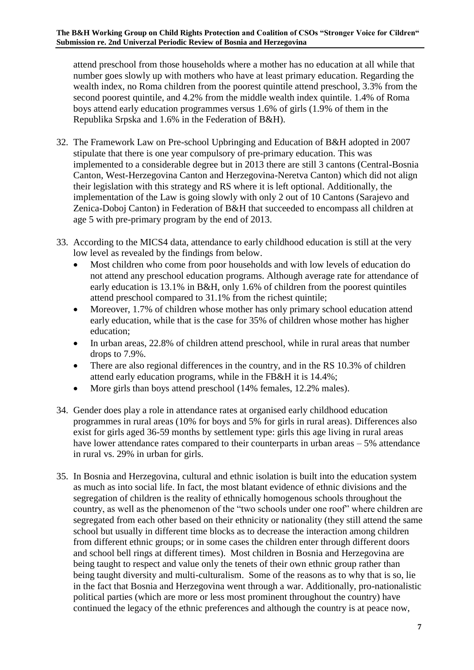attend preschool from those households where a mother has no education at all while that number goes slowly up with mothers who have at least primary education. Regarding the wealth index, no Roma children from the poorest quintile attend preschool, 3.3% from the second poorest quintile, and 4.2% from the middle wealth index quintile. 1.4% of Roma boys attend early education programmes versus 1.6% of girls (1.9% of them in the Republika Srpska and 1.6% in the Federation of B&H).

- 32. The Framework Law on Pre-school Upbringing and Education of B&H adopted in 2007 stipulate that there is one year compulsory of pre-primary education. This was implemented to a considerable degree but in 2013 there are still 3 cantons (Central-Bosnia Canton, West-Herzegovina Canton and Herzegovina-Neretva Canton) which did not align their legislation with this strategy and RS where it is left optional. Additionally, the implementation of the Law is going slowly with only 2 out of 10 Cantons (Sarajevo and Zenica-Doboj Canton) in Federation of B&H that succeeded to encompass all children at age 5 with pre-primary program by the end of 2013.
- 33. According to the MICS4 data, attendance to early childhood education is still at the very low level as revealed by the findings from below.
	- Most children who come from poor households and with low levels of education do not attend any preschool education programs. Although average rate for attendance of early education is 13.1% in B&H, only 1.6% of children from the poorest quintiles attend preschool compared to 31.1% from the richest quintile;
	- Moreover, 1.7% of children whose mother has only primary school education attend early education, while that is the case for 35% of children whose mother has higher education;
	- In urban areas, 22.8% of children attend preschool, while in rural areas that number drops to 7.9%.
	- There are also regional differences in the country, and in the RS 10.3% of children attend early education programs, while in the FB&H it is 14.4%;
	- More girls than boys attend preschool (14% females, 12.2% males).
- 34. Gender does play a role in attendance rates at organised early childhood education programmes in rural areas (10% for boys and 5% for girls in rural areas). Differences also exist for girls aged 36-59 months by settlement type: girls this age living in rural areas have lower attendance rates compared to their counterparts in urban areas – 5% attendance in rural vs. 29% in urban for girls.
- 35. In Bosnia and Herzegovina, cultural and ethnic isolation is built into the education system as much as into social life. In fact, the most blatant evidence of ethnic divisions and the segregation of children is the reality of ethnically homogenous schools throughout the country, as well as the phenomenon of the "two schools under one roof" where children are segregated from each other based on their ethnicity or nationality (they still attend the same school but usually in different time blocks as to decrease the interaction among children from different ethnic groups; or in some cases the children enter through different doors and school bell rings at different times). Most children in Bosnia and Herzegovina are being taught to respect and value only the tenets of their own ethnic group rather than being taught diversity and multi-culturalism. Some of the reasons as to why that is so, lie in the fact that Bosnia and Herzegovina went through a war. Additionally, pro-nationalistic political parties (which are more or less most prominent throughout the country) have continued the legacy of the ethnic preferences and although the country is at peace now,